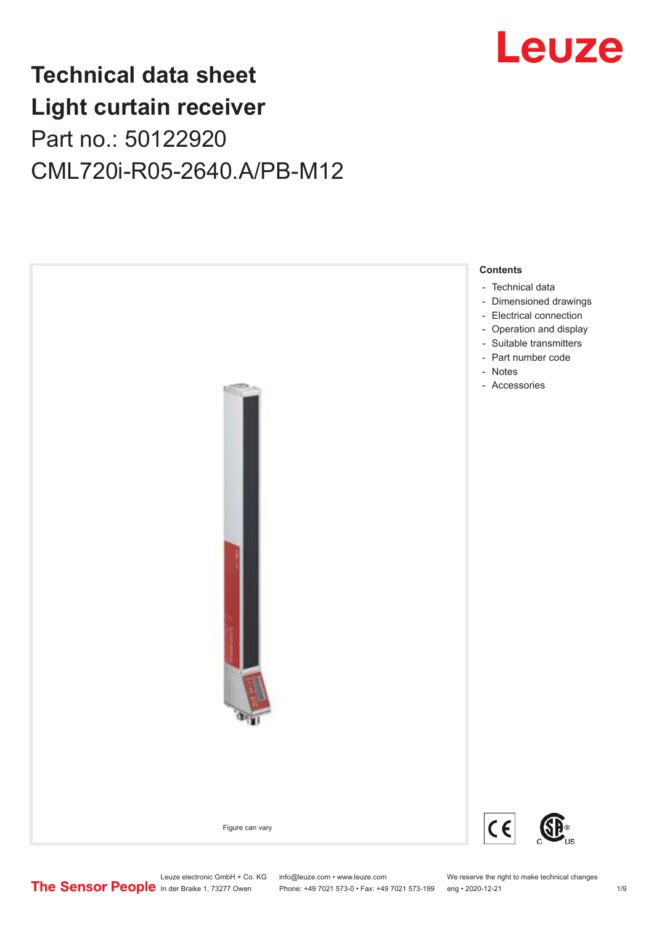

## **Technical data sheet Light curtain receiver** Part no.: 50122920 CML720i-R05-2640.A/PB-M12



Leuze electronic GmbH + Co. KG info@leuze.com • www.leuze.com We reserve the right to make technical changes<br>
The Sensor People in der Braike 1, 73277 Owen Phone: +49 7021 573-0 • Fax: +49 7021 573-199 eng • 2020-12-21

Phone: +49 7021 573-0 • Fax: +49 7021 573-199 eng • 2020-12-21 1 2020-12-21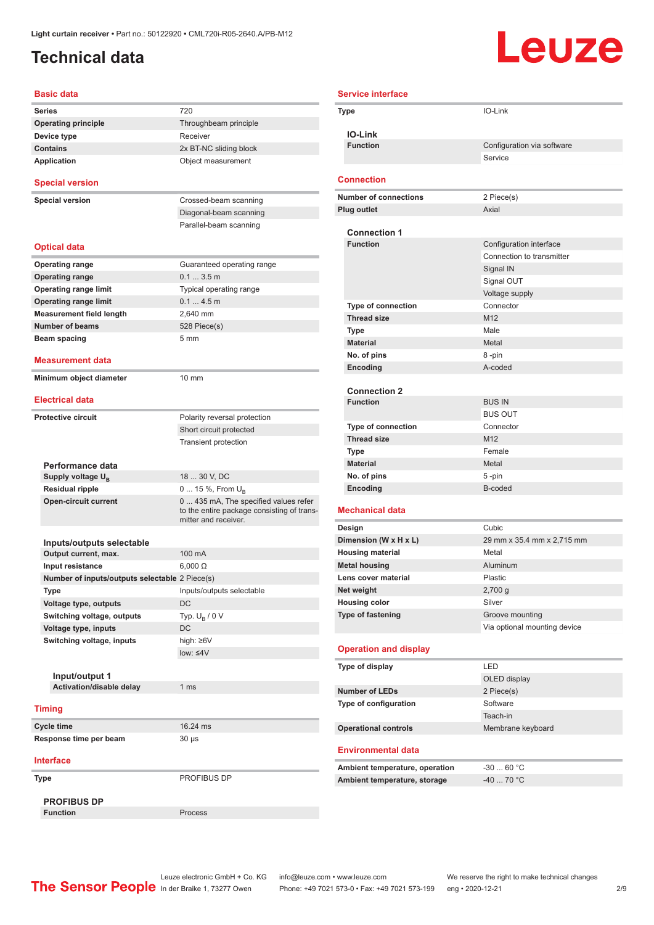### <span id="page-1-0"></span>**Technical data**

# **Leuze**

| <b>Basic data</b>                              |                                                                                                             |
|------------------------------------------------|-------------------------------------------------------------------------------------------------------------|
| Series                                         | 720                                                                                                         |
| <b>Operating principle</b>                     | Throughbeam principle                                                                                       |
| Device type                                    | Receiver                                                                                                    |
| <b>Contains</b>                                | 2x BT-NC sliding block                                                                                      |
| <b>Application</b>                             | Object measurement                                                                                          |
| <b>Special version</b>                         |                                                                                                             |
| <b>Special version</b>                         | Crossed-beam scanning                                                                                       |
|                                                | Diagonal-beam scanning                                                                                      |
|                                                | Parallel-beam scanning                                                                                      |
|                                                |                                                                                                             |
| <b>Optical data</b>                            |                                                                                                             |
| <b>Operating range</b>                         | Guaranteed operating range                                                                                  |
| <b>Operating range</b>                         | $0.13.5$ m                                                                                                  |
| <b>Operating range limit</b>                   | Typical operating range                                                                                     |
| <b>Operating range limit</b>                   | 0.14.5m                                                                                                     |
| <b>Measurement field length</b>                | 2,640 mm                                                                                                    |
| <b>Number of beams</b>                         | 528 Piece(s)                                                                                                |
| Beam spacing                                   | 5 <sub>mm</sub>                                                                                             |
|                                                |                                                                                                             |
| Measurement data                               |                                                                                                             |
| Minimum object diameter                        | $10 \text{ mm}$                                                                                             |
| <b>Electrical data</b>                         |                                                                                                             |
| <b>Protective circuit</b>                      | Polarity reversal protection                                                                                |
|                                                | Short circuit protected                                                                                     |
|                                                | <b>Transient protection</b>                                                                                 |
|                                                |                                                                                                             |
| Performance data                               |                                                                                                             |
| Supply voltage $U_{B}$                         | 18  30 V, DC                                                                                                |
| <b>Residual ripple</b>                         | 0  15 %, From $U_{\rm B}$                                                                                   |
| <b>Open-circuit current</b>                    | 0  435 mA, The specified values refer<br>to the entire package consisting of trans-<br>mitter and receiver. |
|                                                |                                                                                                             |
| Inputs/outputs selectable                      |                                                                                                             |
| Output current, max.                           | 100 mA                                                                                                      |
| Input resistance                               | $6,000 \Omega$                                                                                              |
| Number of inputs/outputs selectable 2 Piece(s) |                                                                                                             |
| Type                                           | Inputs/outputs selectable                                                                                   |
| Voltage type, outputs                          | DC                                                                                                          |
| Switching voltage, outputs                     | Typ. $U_R / 0 V$                                                                                            |
| Voltage type, inputs                           | DC                                                                                                          |
| Switching voltage, inputs                      | high: ≥6V                                                                                                   |
|                                                | $low: 4V$                                                                                                   |
|                                                |                                                                                                             |
| Input/output 1                                 |                                                                                                             |
| Activation/disable delay                       | 1 <sub>ms</sub>                                                                                             |
| <b>Timing</b>                                  |                                                                                                             |
| Cycle time                                     | 16.24 ms                                                                                                    |
| Response time per beam                         | 30 µs                                                                                                       |
| <b>Interface</b>                               |                                                                                                             |
|                                                |                                                                                                             |
| Type                                           | PROFIBUS DP                                                                                                 |
| <b>PROFIBUS DP</b>                             |                                                                                                             |
| <b>Function</b>                                | Process                                                                                                     |

| <b>Service interface</b>                  |                                                      |
|-------------------------------------------|------------------------------------------------------|
| Type                                      | IO-Link                                              |
|                                           |                                                      |
| <b>IO-Link</b>                            |                                                      |
| <b>Function</b>                           | Configuration via software                           |
|                                           | Service                                              |
| <b>Connection</b>                         |                                                      |
| <b>Number of connections</b>              | 2 Piece(s)                                           |
| <b>Plug outlet</b>                        | Axial                                                |
|                                           |                                                      |
| <b>Connection 1</b><br><b>Function</b>    |                                                      |
|                                           | Configuration interface<br>Connection to transmitter |
|                                           |                                                      |
|                                           | Signal IN<br>Signal OUT                              |
|                                           | Voltage supply                                       |
| <b>Type of connection</b>                 | Connector                                            |
| <b>Thread size</b>                        | M <sub>12</sub>                                      |
| Type                                      | Male                                                 |
| <b>Material</b>                           | Metal                                                |
| No. of pins                               | 8-pin                                                |
| Encoding                                  | A-coded                                              |
|                                           |                                                      |
| <b>Connection 2</b>                       |                                                      |
| <b>Function</b>                           | <b>BUS IN</b>                                        |
|                                           | <b>BUS OUT</b>                                       |
| <b>Type of connection</b>                 | Connector                                            |
| <b>Thread size</b>                        | M <sub>12</sub>                                      |
| Type                                      | Female                                               |
| <b>Material</b>                           | Metal                                                |
| No. of pins                               | $5 - pin$                                            |
| Encoding                                  | B-coded                                              |
| Mechanical data                           |                                                      |
| Design                                    | Cubic                                                |
| Dimension (W x H x L)                     | 29 mm x 35.4 mm x 2,715 mm                           |
| <b>Housing material</b>                   | Metal                                                |
| <b>Metal housing</b>                      | Aluminum                                             |
| Lens cover material                       | Plastic                                              |
| Net weight                                | $2,700$ g<br>Silver                                  |
| <b>Housing color</b><br>Type of fastening | Groove mounting                                      |
|                                           | Via optional mounting device                         |
|                                           |                                                      |
| <b>Operation and display</b>              |                                                      |
| Type of display                           | LED                                                  |
|                                           | OLED display                                         |
| <b>Number of LEDs</b>                     | 2 Piece(s)                                           |
| Type of configuration                     | Software                                             |
|                                           | Teach-in                                             |
| <b>Operational controls</b>               | Membrane keyboard                                    |
| <b>Environmental data</b>                 |                                                      |
| Ambient temperature, operation            | $-3060 °C$                                           |
| Ambient temperature, storage              | $-40$ 70 °C                                          |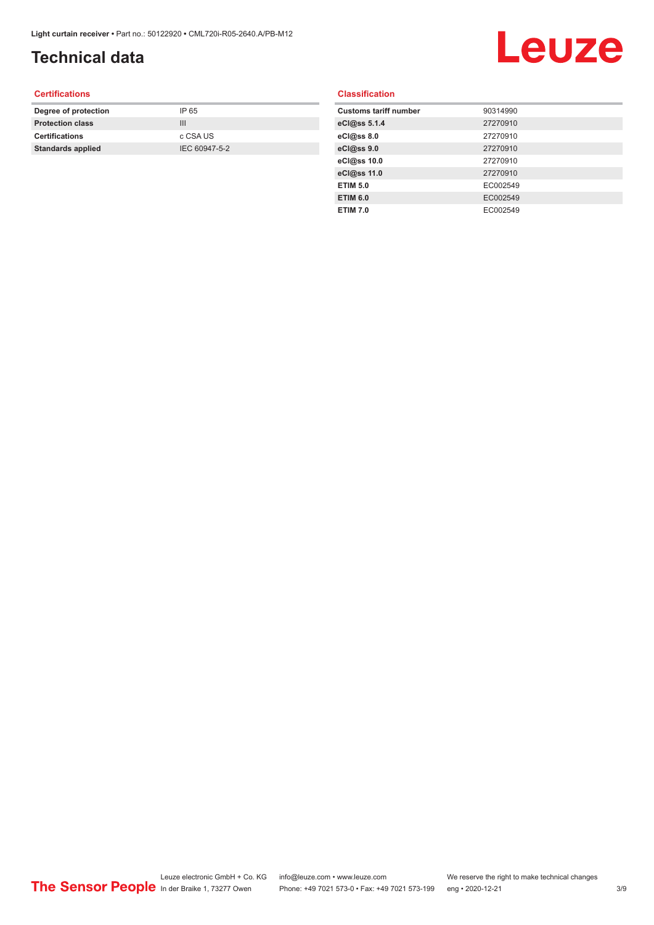## **Technical data**

## Leuze

#### **Certifications**

| Degree of protection     | IP 65         |
|--------------------------|---------------|
| <b>Protection class</b>  | Ш             |
| <b>Certifications</b>    | c CSA US      |
| <b>Standards applied</b> | IEC 60947-5-2 |
|                          |               |

#### **Classification**

| <b>Customs tariff number</b> | 90314990 |
|------------------------------|----------|
| eCl@ss 5.1.4                 | 27270910 |
| eCl@ss 8.0                   | 27270910 |
| eCl@ss 9.0                   | 27270910 |
| eCl@ss 10.0                  | 27270910 |
| eCl@ss 11.0                  | 27270910 |
| <b>ETIM 5.0</b>              | EC002549 |
| <b>ETIM 6.0</b>              | EC002549 |
| <b>ETIM 7.0</b>              | EC002549 |
|                              |          |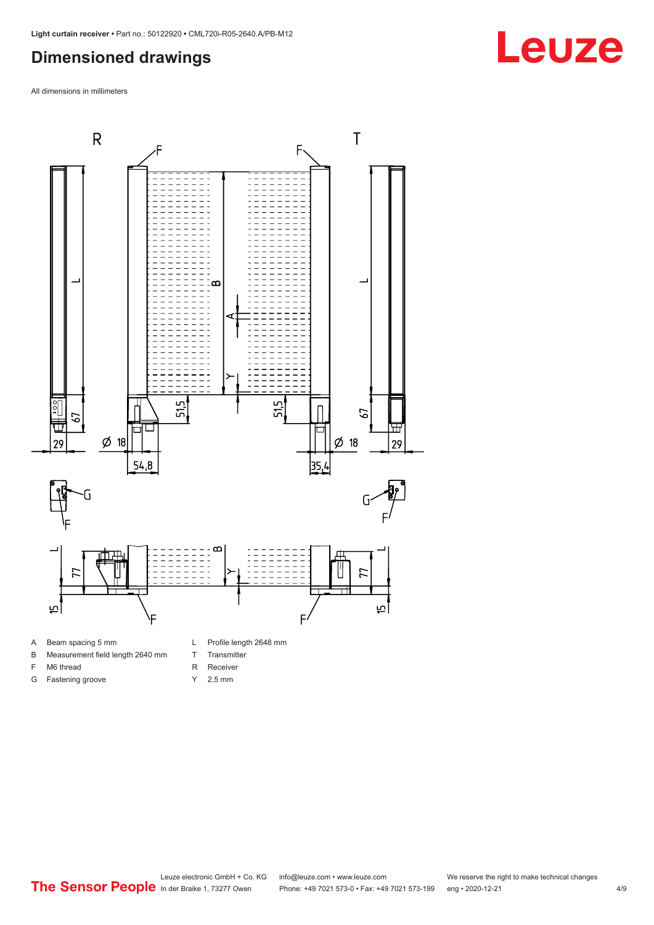#### <span id="page-3-0"></span>**Dimensioned drawings**

All dimensions in millimeters



A Beam spacing 5 mm

G Fastening groove

- B Measurement field length 2640 mm
- F M6 thread
- R Receiver
	- Y 2.5 mm

T Transmitter

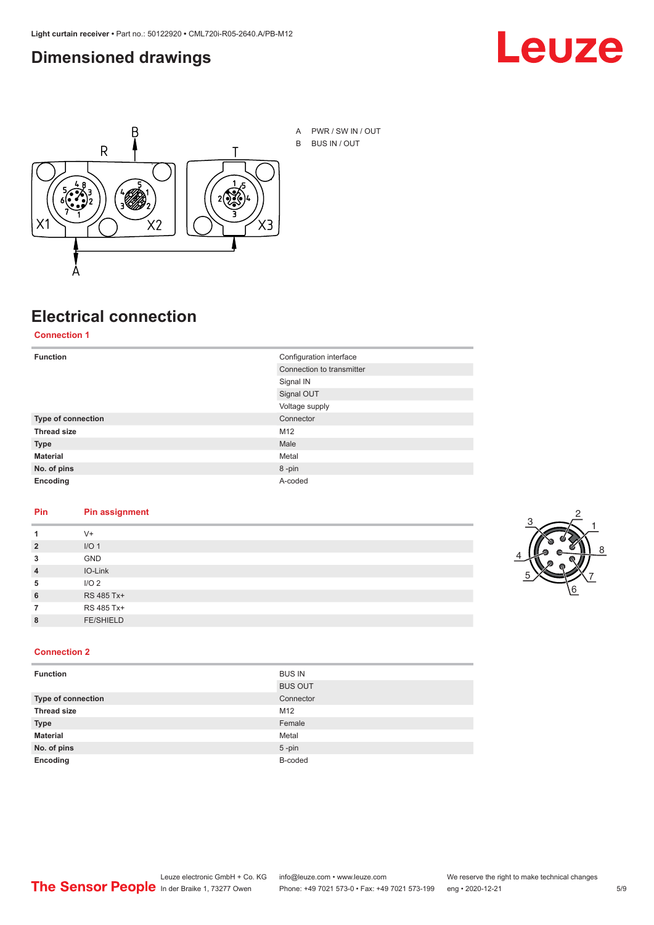#### <span id="page-4-0"></span>**Dimensioned drawings**





## **Electrical connection**

**Connection 1**

| <b>Function</b>    | Configuration interface   |
|--------------------|---------------------------|
|                    | Connection to transmitter |
|                    | Signal IN                 |
|                    | Signal OUT                |
|                    | Voltage supply            |
| Type of connection | Connector                 |
| <b>Thread size</b> | M12                       |
| <b>Type</b>        | Male                      |
| <b>Material</b>    | Metal                     |
| No. of pins        | 8-pin                     |
| Encoding           | A-coded                   |

#### **Pin Pin assignment**

|                | $V +$            |  |  |
|----------------|------------------|--|--|
| $\overline{2}$ | I/O <sub>1</sub> |  |  |
| 3              | <b>GND</b>       |  |  |
| $\overline{4}$ | IO-Link          |  |  |
| 5              | I/O <sub>2</sub> |  |  |
| 6              | RS 485 Tx+       |  |  |
|                | RS 485 Tx+       |  |  |
| 8              | <b>FE/SHIELD</b> |  |  |
|                |                  |  |  |



#### **Connection 2**

| <b>Function</b>    | <b>BUS IN</b>  |
|--------------------|----------------|
|                    | <b>BUS OUT</b> |
| Type of connection | Connector      |
| <b>Thread size</b> | M12            |
| <b>Type</b>        | Female         |
| <b>Material</b>    | Metal          |
| No. of pins        | $5$ -pin       |
| Encoding           | B-coded        |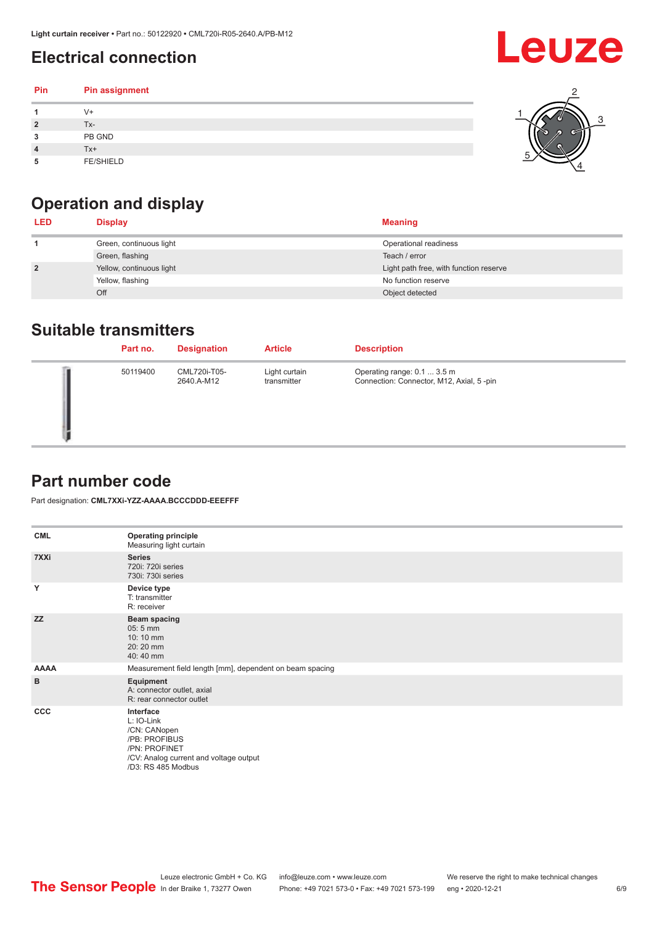## <span id="page-5-0"></span>**Electrical connection**

#### **Pin Pin assignment 1** V+ **2** Tx-**3** PB GND **4** Tx+ **5** FE/SHIELD 3 2 1 5 4

## **Operation and display**

| <b>LED</b>     | <b>Display</b>           | <b>Meaning</b>                         |
|----------------|--------------------------|----------------------------------------|
|                | Green, continuous light  | Operational readiness                  |
|                | Green, flashing          | Teach / error                          |
| $\overline{2}$ | Yellow, continuous light | Light path free, with function reserve |
|                | Yellow, flashing         | No function reserve                    |
|                | Off                      | Object detected                        |

#### **Suitable transmitters**

| Part no. | <b>Designation</b>         | <b>Article</b>               | <b>Description</b>                                                      |
|----------|----------------------------|------------------------------|-------------------------------------------------------------------------|
| 50119400 | CML720i-T05-<br>2640.A-M12 | Light curtain<br>transmitter | Operating range: 0.1  3.5 m<br>Connection: Connector, M12, Axial, 5-pin |

#### **Part number code**

Part designation: **CML7XXi-YZZ-AAAA.BCCCDDD-EEEFFF**

| <b>CML</b>   | <b>Operating principle</b><br>Measuring light curtain                                                                                     |
|--------------|-------------------------------------------------------------------------------------------------------------------------------------------|
| 7XXi         | <b>Series</b><br>720i: 720i series<br>730i: 730i series                                                                                   |
| Y            | Device type<br>T: transmitter<br>R: receiver                                                                                              |
| <b>ZZ</b>    | <b>Beam spacing</b><br>$05:5$ mm<br>10:10 mm<br>20:20 mm<br>40:40 mm                                                                      |
| <b>AAAA</b>  | Measurement field length [mm], dependent on beam spacing                                                                                  |
| B            | Equipment<br>A: connector outlet, axial<br>R: rear connector outlet                                                                       |
| $_{\rm ccc}$ | Interface<br>L: IO-Link<br>/CN: CANopen<br>/PB: PROFIBUS<br>/PN: PROFINET<br>/CV: Analog current and voltage output<br>/D3: RS 485 Modbus |

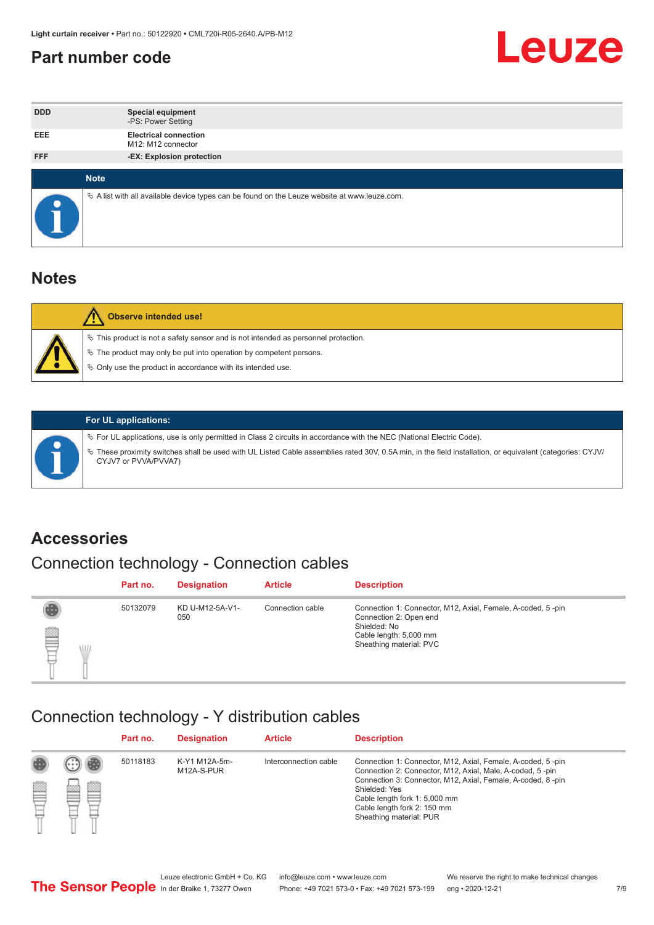#### <span id="page-6-0"></span>**Part number code**



| <b>DDD</b> | <b>Special equipment</b><br>-PS: Power Setting                                                  |
|------------|-------------------------------------------------------------------------------------------------|
| <b>EEE</b> | <b>Electrical connection</b><br>M12: M12 connector                                              |
| <b>FFF</b> | -EX: Explosion protection                                                                       |
|            |                                                                                                 |
|            | <b>Note</b>                                                                                     |
|            | $\&$ A list with all available device types can be found on the Leuze website at www.leuze.com. |

#### **Notes**

| $\%$ The product may only be put into operation by competent persons.<br>₿ Only use the product in accordance with its intended use. | $\%$ This product is not a safety sensor and is not intended as personnel protection. |
|--------------------------------------------------------------------------------------------------------------------------------------|---------------------------------------------------------------------------------------|



#### **For UL applications:**

ª For UL applications, use is only permitted in Class 2 circuits in accordance with the NEC (National Electric Code). ª These proximity switches shall be used with UL Listed Cable assemblies rated 30V, 0.5A min, in the field installation, or equivalent (categories: CYJV/ CYJV7 or PVVA/PVVA7)

#### **Accessories**

## Connection technology - Connection cables

|        | Part no. | <b>Designation</b>     | <b>Article</b>   | <b>Description</b>                                                                                                                                         |
|--------|----------|------------------------|------------------|------------------------------------------------------------------------------------------------------------------------------------------------------------|
| 2<br>W | 50132079 | KD U-M12-5A-V1-<br>050 | Connection cable | Connection 1: Connector, M12, Axial, Female, A-coded, 5-pin<br>Connection 2: Open end<br>Shielded: No<br>Cable length: 5,000 mm<br>Sheathing material: PVC |

#### Connection technology - Y distribution cables

|             |   | Part no. | <b>Designation</b>          | <b>Article</b>        | <b>Description</b>                                                                                                                                                                                                                                                                                  |
|-------------|---|----------|-----------------------------|-----------------------|-----------------------------------------------------------------------------------------------------------------------------------------------------------------------------------------------------------------------------------------------------------------------------------------------------|
| 圔<br>⋿<br>٣ | ø | 50118183 | K-Y1 M12A-5m-<br>M12A-S-PUR | Interconnection cable | Connection 1: Connector, M12, Axial, Female, A-coded, 5-pin<br>Connection 2: Connector, M12, Axial, Male, A-coded, 5-pin<br>Connection 3: Connector, M12, Axial, Female, A-coded, 8-pin<br>Shielded: Yes<br>Cable length fork 1: 5,000 mm<br>Cable length fork 2: 150 mm<br>Sheathing material: PUR |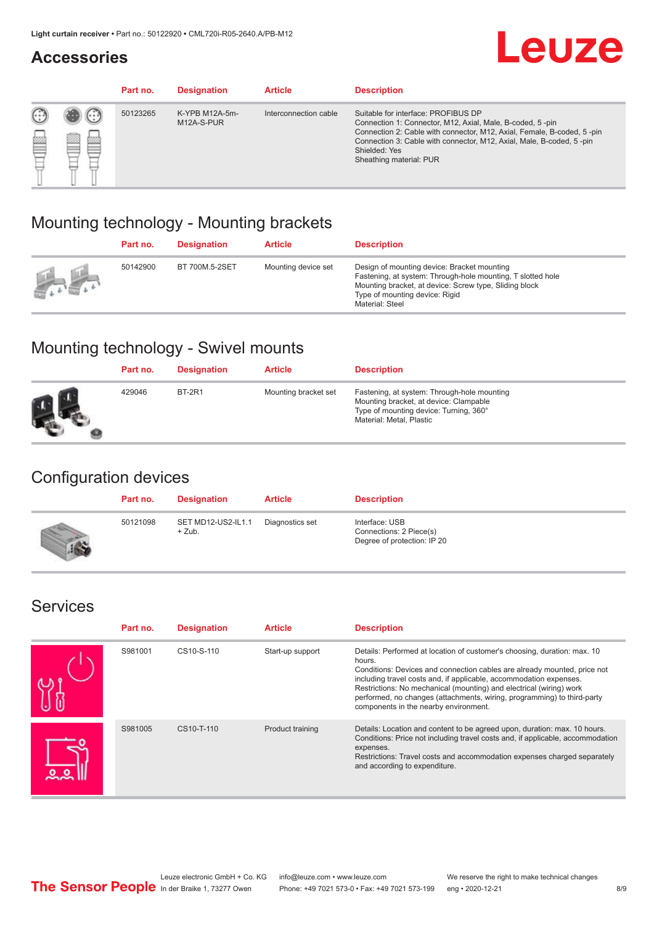#### **Accessories**

## **Leuze**

|   |        | Part no. | <b>Designation</b>           | <b>Article</b>        | <b>Description</b>                                                                                                                                                                                                                                                                             |
|---|--------|----------|------------------------------|-----------------------|------------------------------------------------------------------------------------------------------------------------------------------------------------------------------------------------------------------------------------------------------------------------------------------------|
| 您 | ×<br>一 | 50123265 | K-YPB M12A-5m-<br>M12A-S-PUR | Interconnection cable | Suitable for interface: PROFIBUS DP<br>Connection 1: Connector, M12, Axial, Male, B-coded, 5-pin<br>Connection 2: Cable with connector, M12, Axial, Female, B-coded, 5-pin<br>Connection 3: Cable with connector, M12, Axial, Male, B-coded, 5-pin<br>Shielded: Yes<br>Sheathing material: PUR |

#### Mounting technology - Mounting brackets

|                                                 | Part no. | <b>Designation</b> | <b>Article</b>      | <b>Description</b>                                                                                                                                                                                                        |
|-------------------------------------------------|----------|--------------------|---------------------|---------------------------------------------------------------------------------------------------------------------------------------------------------------------------------------------------------------------------|
| $\frac{1}{2} \sum_{n=1}^{\infty} \frac{1}{n^2}$ | 50142900 | BT 700M.5-2SET     | Mounting device set | Design of mounting device: Bracket mounting<br>Fastening, at system: Through-hole mounting, T slotted hole<br>Mounting bracket, at device: Screw type, Sliding block<br>Type of mounting device: Rigid<br>Material: Steel |

### Mounting technology - Swivel mounts

| Part no. | <b>Designation</b> | <b>Article</b>       | <b>Description</b>                                                                                                                                          |
|----------|--------------------|----------------------|-------------------------------------------------------------------------------------------------------------------------------------------------------------|
| 429046   | <b>BT-2R1</b>      | Mounting bracket set | Fastening, at system: Through-hole mounting<br>Mounting bracket, at device: Clampable<br>Type of mounting device: Turning, 360°<br>Material: Metal, Plastic |

#### Configuration devices

| Part no. | <b>Designation</b>             | <b>Article</b>  | <b>Description</b>                                                       |
|----------|--------------------------------|-----------------|--------------------------------------------------------------------------|
| 50121098 | SET MD12-US2-IL1.1<br>$+$ Zub. | Diagnostics set | Interface: USB<br>Connections: 2 Piece(s)<br>Degree of protection: IP 20 |

#### Services

| Part no. | <b>Designation</b> | <b>Article</b>   | <b>Description</b>                                                                                                                                                                                                                                                                                                                                                                                                              |
|----------|--------------------|------------------|---------------------------------------------------------------------------------------------------------------------------------------------------------------------------------------------------------------------------------------------------------------------------------------------------------------------------------------------------------------------------------------------------------------------------------|
| S981001  | CS10-S-110         | Start-up support | Details: Performed at location of customer's choosing, duration: max. 10<br>hours.<br>Conditions: Devices and connection cables are already mounted, price not<br>including travel costs and, if applicable, accommodation expenses.<br>Restrictions: No mechanical (mounting) and electrical (wiring) work<br>performed, no changes (attachments, wiring, programming) to third-party<br>components in the nearby environment. |
| S981005  | CS10-T-110         | Product training | Details: Location and content to be agreed upon, duration: max. 10 hours.<br>Conditions: Price not including travel costs and, if applicable, accommodation<br>expenses.<br>Restrictions: Travel costs and accommodation expenses charged separately<br>and according to expenditure.                                                                                                                                           |